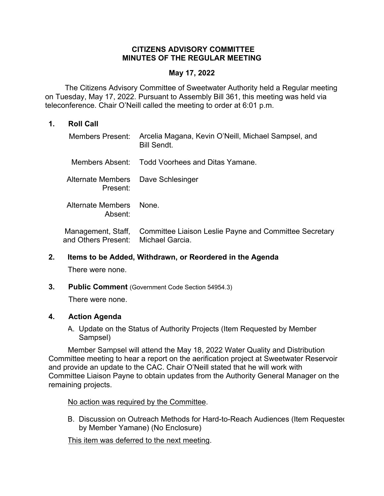## **CITIZENS ADVISORY COMMITTEE MINUTES OF THE REGULAR MEETING**

#### **May 17, 2022**

 The Citizens Advisory Committee of Sweetwater Authority held a Regular meeting on Tuesday, May 17, 2022. Pursuant to Assembly Bill 361, this meeting was held via teleconference. Chair O'Neill called the meeting to order at 6:01 p.m.

#### **1. Roll Call**

| Members Present:                               | Arcelia Magana, Kevin O'Neill, Michael Sampsel, and<br><b>Bill Sendt.</b> |
|------------------------------------------------|---------------------------------------------------------------------------|
|                                                | Members Absent: Todd Voorhees and Ditas Yamane.                           |
| Alternate Members Dave Schlesinger<br>Present: |                                                                           |
| Alternate Members<br>Absent:                   | None.                                                                     |
| Management, Staff,<br>and Others Present:      | Committee Liaison Leslie Payne and Committee Secretary<br>Michael Garcia. |

#### **2. Items to be Added, Withdrawn, or Reordered in the Agenda**

There were none.

**3. Public Comment** (Government Code Section 54954.3)

There were none.

## **4. Action Agenda**

A. Update on the Status of Authority Projects (Item Requested by Member Sampsel)

Member Sampsel will attend the May 18, 2022 Water Quality and Distribution Committee meeting to hear a report on the aerification project at Sweetwater Reservoir and provide an update to the CAC. Chair O'Neill stated that he will work with Committee Liaison Payne to obtain updates from the Authority General Manager on the remaining projects.

## No action was required by the Committee.

B. Discussion on Outreach Methods for Hard-to-Reach Audiences (Item Requested by Member Yamane) (No Enclosure)

This item was deferred to the next meeting.